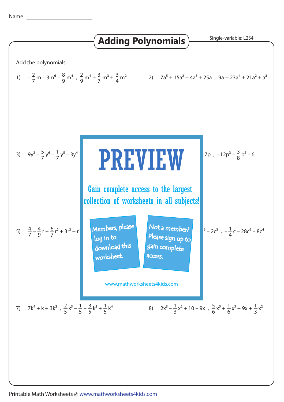